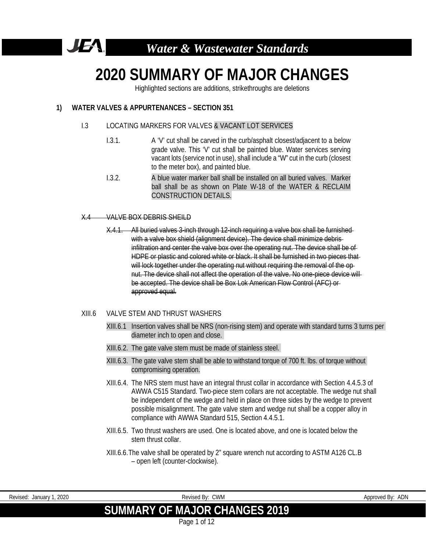

# **2020 SUMMARY OF MAJOR CHANGES**

Highlighted sections are additions, strikethroughs are deletions

# **1) WATER VALVES & APPURTENANCES – SECTION 351**

#### I.3 LOCATING MARKERS FOR VALVES & VACANT LOT SERVICES

- I.3.1. A 'V' cut shall be carved in the curb/asphalt closest/adjacent to a below grade valve. This 'V' cut shall be painted blue. Water services serving vacant lots (service not in use), shall include a "W" cut in the curb (closest to the meter box), and painted blue.
- I.3.2. A blue water marker ball shall be installed on all buried valves. Marker ball shall be as shown on Plate W-18 of the WATER & RECLAIM CONSTRUCTION DETAILS.

#### X.4 VALVE BOX DEBRIS SHEILD

X.4.1. All buried valves 3-inch through 12-inch requiring a valve box shall be furnished with a valve box shield (alignment device). The device shall minimize debrisinfiltration and center the valve box over the operating nut. The device shall be of HDPE or plastic and colored white or black. It shall be furnished in two pieces that will lock together under the operating nut without requiring the removal of the opnut. The device shall not affect the operation of the valve. No one-piece device will be accepted. The device shall be Box Lok American Flow Control (AFC) or approved equal.

#### XIII.6 VALVE STEM AND THRUST WASHERS

- XIII.6.1 Insertion valves shall be NRS (non-rising stem) and operate with standard turns 3 turns per diameter inch to open and close.
- XIII.6.2. The gate valve stem must be made of stainless steel.
- XIII.6.3. The gate valve stem shall be able to withstand torque of 700 ft. lbs. of torque without compromising operation.
- XIII.6.4. The NRS stem must have an integral thrust collar in accordance with Section 4.4.5.3 of AWWA C515 Standard. Two-piece stem collars are not acceptable. The wedge nut shall be independent of the wedge and held in place on three sides by the wedge to prevent possible misalignment. The gate valve stem and wedge nut shall be a copper alloy in compliance with AWWA Standard 515, Section 4.4.5.1.
- XIII.6.5. Two thrust washers are used. One is located above, and one is located below the stem thrust collar.
- XIII.6.6.The valve shall be operated by 2" square wrench nut according to ASTM A126 CL.B – open left (counter-clockwise).

| Revised:<br>Uanuary : | 2020 | used By: 1<br>۰, С. | CWM | Annroved By | $\overline{M}$<br>ושר |
|-----------------------|------|---------------------|-----|-------------|-----------------------|
|                       |      |                     |     |             |                       |

# **SUMMARY OF MAJOR CHANGES 2019**

Page 1 of 12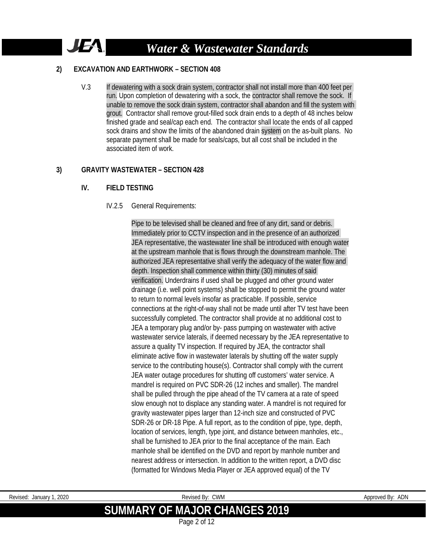# **2) EXCAVATION AND EARTHWORK – SECTION 408**

JEA.

V.3 If dewatering with a sock drain system, contractor shall not install more than 400 feet per run. Upon completion of dewatering with a sock, the contractor shall remove the sock. If unable to remove the sock drain system, contractor shall abandon and fill the system with grout. Contractor shall remove grout-filled sock drain ends to a depth of 48 inches below finished grade and seal/cap each end. The contractor shall locate the ends of all capped sock drains and show the limits of the abandoned drain system on the as-built plans. No separate payment shall be made for seals/caps, but all cost shall be included in the associated item of work.

# **3) GRAVITY WASTEWATER – SECTION 428**

#### **IV. FIELD TESTING**

#### IV.2.5 General Requirements:

Pipe to be televised shall be cleaned and free of any dirt, sand or debris. Immediately prior to CCTV inspection and in the presence of an authorized JEA representative, the wastewater line shall be introduced with enough water at the upstream manhole that is flows through the downstream manhole. The authorized JEA representative shall verify the adequacy of the water flow and depth. Inspection shall commence within thirty (30) minutes of said verification. Underdrains if used shall be plugged and other ground water drainage (i.e. well point systems) shall be stopped to permit the ground water to return to normal levels insofar as practicable. If possible, service connections at the right-of-way shall not be made until after TV test have been successfully completed. The contractor shall provide at no additional cost to JEA a temporary plug and/or by- pass pumping on wastewater with active wastewater service laterals, if deemed necessary by the JEA representative to assure a quality TV inspection. If required by JEA, the contractor shall eliminate active flow in wastewater laterals by shutting off the water supply service to the contributing house(s). Contractor shall comply with the current JEA water outage procedures for shutting off customers' water service. A mandrel is required on PVC SDR-26 (12 inches and smaller). The mandrel shall be pulled through the pipe ahead of the TV camera at a rate of speed slow enough not to displace any standing water. A mandrel is not required for gravity wastewater pipes larger than 12-inch size and constructed of PVC SDR-26 or DR-18 Pipe. A full report, as to the condition of pipe, type, depth, location of services, length, type joint, and distance between manholes, etc., shall be furnished to JEA prior to the final acceptance of the main. Each manhole shall be identified on the DVD and report by manhole number and nearest address or intersection. In addition to the written report, a DVD disc (formatted for Windows Media Player or JEA approved equal) of the TV

Revised: January 1, 2020 **Revised By:** CWM Revised By: CWM Approved By: ADN

# **SUMMARY OF MAJOR CHANGES 2019**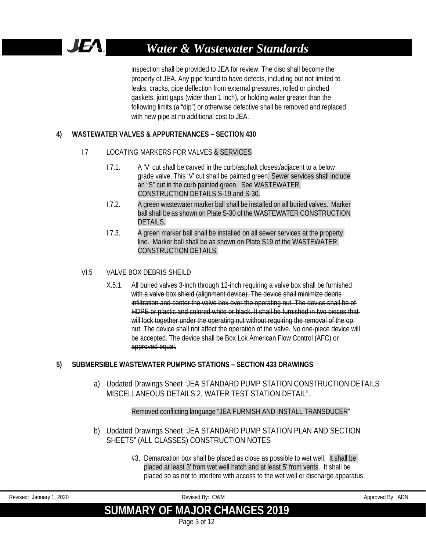inspection shall be provided to JEA for review. The disc shall become the property of JEA. Any pipe found to have defects, including but not limited to leaks, cracks, pipe deflection from external pressures, rolled or pinched gaskets, joint gaps (wider than 1 inch), or holding water greater than the following limits (a "dip") or otherwise defective shall be removed and replaced with new pipe at no additional cost to JEA.

# **4) WASTEWATER VALVES & APPURTENANCES – SECTION 430**

# I.7 LOCATING MARKERS FOR VALVES & SERVICES

- I.7.1. A 'V' cut shall be carved in the curb/asphalt closest/adjacent to a below grade valve. This 'V' cut shall be painted green. Sewer services shall include an "S" cut in the curb painted green. See WASTEWATER CONSTRUCTION DETAILS S-19 and S-30.
- I.7.2. A green wastewater marker ball shall be installed on all buried valves. Marker ball shall be as shown on Plate S-30 of the WASTEWATER CONSTRUCTION DETAILS.
- I.7.3. A green marker ball shall be installed on all sewer services at the property line. Marker ball shall be as shown on Plate S19 of the WASTEWATER CONSTRUCTION DETAILS.

#### VI.5 VALVE BOX DEBRIS SHEILD

X.5.1. All buried valves 3-inch through 12-inch requiring a valve box shall be furnished with a valve box shield (alignment device). The device shall minimize debrisinfiltration and center the valve box over the operating nut. The device shall be of HDPE or plastic and colored white or black. It shall be furnished in two pieces that will lock together under the operating nut without requiring the removal of the opnut. The device shall not affect the operation of the valve. No one-piece device will be accepted. The device shall be Box Lok American Flow Control (AFC) or approved equal.

# **5) SUBMERSIBLE WASTEWATER PUMPING STATIONS – SECTION 433 DRAWINGS**

a) Updated Drawings Sheet "JEA STANDARD PUMP STATION CONSTRUCTION DETAILS MISCELLANEOUS DETAILS 2, WATER TEST STATION DETAIL".

# Removed conflicting language "JEA FURNISH AND INSTALL TRANSDUCER"

- b) Updated Drawings Sheet "JEA STANDARD PUMP STATION PLAN AND SECTION SHEETS" (ALL CLASSES) CONSTRUCTION NOTES
	- #3. Demarcation box shall be placed as close as possible to wet well. It shall be placed at least 3' from wet well hatch and at least 5' from vents. It shall be placed so as not to interfere with access to the wet well or discharge apparatus

| Revised: January 1<br>. 2020 | Revised By: CWM               | Approved By: ADN |
|------------------------------|-------------------------------|------------------|
|                              | SUMMARY OF MAJOR CHANGES 2019 |                  |
|                              |                               |                  |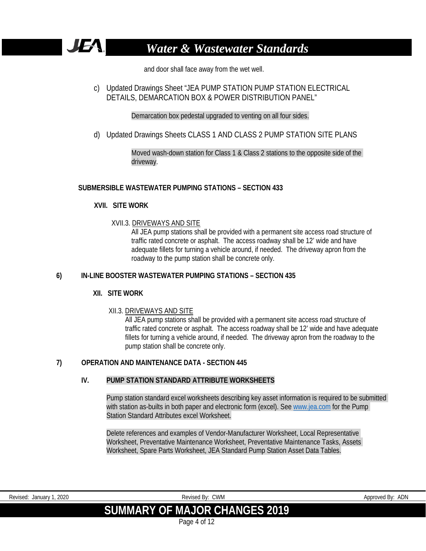

and door shall face away from the wet well.

c) Updated Drawings Sheet "JEA PUMP STATION PUMP STATION ELECTRICAL DETAILS, DEMARCATION BOX & POWER DISTRIBUTION PANEL"

Demarcation box pedestal upgraded to venting on all four sides.

d) Updated Drawings Sheets CLASS 1 AND CLASS 2 PUMP STATION SITE PLANS

Moved wash-down station for Class 1 & Class 2 stations to the opposite side of the driveway.

# **SUBMERSIBLE WASTEWATER PUMPING STATIONS – SECTION 433**

# **XVII. SITE WORK**

# XVII.3. DRIVEWAYS AND SITE

All JEA pump stations shall be provided with a permanent site access road structure of traffic rated concrete or asphalt. The access roadway shall be 12' wide and have adequate fillets for turning a vehicle around, if needed. The driveway apron from the roadway to the pump station shall be concrete only.

# **6) IN-LINE BOOSTER WASTEWATER PUMPING STATIONS – SECTION 435**

# **XII. SITE WORK**

# XII.3. DRIVEWAYS AND SITE

All JEA pump stations shall be provided with a permanent site access road structure of traffic rated concrete or asphalt. The access roadway shall be 12' wide and have adequate fillets for turning a vehicle around, if needed. The driveway apron from the roadway to the pump station shall be concrete only.

# **7) OPERATION AND MAINTENANCE DATA - SECTION 445**

# **IV. PUMP STATION STANDARD ATTRIBUTE WORKSHEETS**

Pump station standard excel worksheets describing key asset information is required to be submitted with station as-builts in both paper and electronic form (excel). See [www.jea.com](http://www.jea.com/) for the Pump Station Standard Attributes excel Worksheet.

Delete references and examples of Vendor-Manufacturer Worksheet, Local Representative Worksheet, Preventative Maintenance Worksheet, Preventative Maintenance Tasks, Assets Worksheet, Spare Parts Worksheet, JEA Standard Pump Station Asset Data Tables.

| Revised: January 1, 2020 | Revised By: CWM               | Approved By: ADN |
|--------------------------|-------------------------------|------------------|
|                          | SUMMARY OF MAJOR CHANGES 2019 |                  |
|                          | Page 4 of 12                  |                  |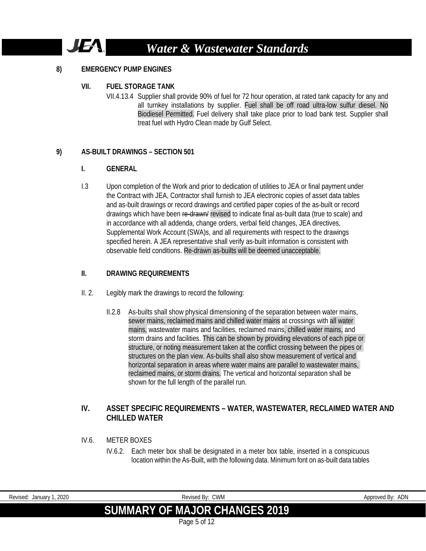# JE

# *Water & Wastewater Standards*

# **8) EMERGENCY PUMP ENGINES**

#### **VII. FUEL STORAGE TANK**

VII.4.13.4 Supplier shall provide 90% of fuel for 72 hour operation, at rated tank capacity for any and all turnkey installations by supplier. Fuel shall be off road ultra-low sulfur diesel. No Biodiesel Permitted. Fuel delivery shall take place prior to load bank test. Supplier shall treat fuel with Hydro Clean made by Gulf Select.

#### **9) AS-BUILT DRAWINGS – SECTION 501**

# **I. GENERAL**

I.3 Upon completion of the Work and prior to dedication of utilities to JEA or final payment under the Contract with JEA, Contractor shall furnish to JEA electronic copies of asset data tables and as-built drawings or record drawings and certified paper copies of the as-built or record drawings which have been re-drawn/ revised to indicate final as-built data (true to scale) and in accordance with all addenda, change orders, verbal field changes, JEA directives, Supplemental Work Account (SWA)s, and all requirements with respect to the drawings specified herein. A JEA representative shall verify as-built information is consistent with observable field conditions. Re-drawn as-builts will be deemed unacceptable.

#### **II. DRAWING REQUIREMENTS**

- II. 2. Legibly mark the drawings to record the following:
	- II.2.8 As-builts shall show physical dimensioning of the separation between water mains, sewer mains, reclaimed mains and chilled water mains at crossings with all water mains, wastewater mains and facilities, reclaimed mains, chilled water mains, and storm drains and facilities. This can be shown by providing elevations of each pipe or structure, or noting measurement taken at the conflict crossing between the pipes or structures on the plan view. As-builts shall also show measurement of vertical and horizontal separation in areas where water mains are parallel to wastewater mains, reclaimed mains, or storm drains. The vertical and horizontal separation shall be shown for the full length of the parallel run.

# **IV. ASSET SPECIFIC REQUIREMENTS – WATER, WASTEWATER, RECLAIMED WATER AND CHILLED WATER**

- IV.6. METER BOXES
	- IV.6.2. Each meter box shall be designated in a meter box table, inserted in a conspicuous location within the As-Built, with the following data. Minimum font on as-built data tables

|--|

# **SUMMARY OF MAJOR CHANGES 2019**

Page 5 of 12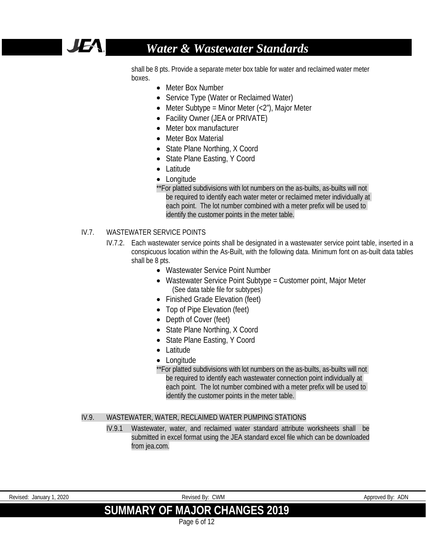

shall be 8 pts. Provide a separate meter box table for water and reclaimed water meter boxes.

- Meter Box Number
- Service Type (Water or Reclaimed Water)
- Meter Subtype = Minor Meter  $\left\langle \langle 2^n \rangle \right\rangle$ , Major Meter
- Facility Owner (JEA or PRIVATE)
- Meter box manufacturer
- Meter Box Material
- State Plane Northing, X Coord
- State Plane Easting, Y Coord
- Latitude
- Longitude
- \*\*For platted subdivisions with lot numbers on the as-builts, as-builts will not be required to identify each water meter or reclaimed meter individually at each point. The lot number combined with a meter prefix will be used to identify the customer points in the meter table.

# IV.7. WASTEWATER SERVICE POINTS

- IV.7.2. Each wastewater service points shall be designated in a wastewater service point table, inserted in a conspicuous location within the As-Built, with the following data. Minimum font on as-built data tables shall be 8 pts.
	- Wastewater Service Point Number
	- Wastewater Service Point Subtype = Customer point, Major Meter (See data table file for subtypes)
	- Finished Grade Elevation (feet)
	- Top of Pipe Elevation (feet)
	- Depth of Cover (feet)
	- State Plane Northing, X Coord
	- State Plane Easting, Y Coord
	- Latitude
	- Longitude
	- \*\*For platted subdivisions with lot numbers on the as-builts, as-builts will not be required to identify each wastewater connection point individually at each point. The lot number combined with a meter prefix will be used to identify the customer points in the meter table.

#### IV.9. WASTEWATER, WATER, RECLAIMED WATER PUMPING STATIONS

IV.9.1 Wastewater, water, and reclaimed water standard attribute worksheets shall be submitted in excel format using the JEA standard excel file which can be downloaded from jea.com.

| Revised:<br>2020<br>CWM<br>Revised Bv:<br>Approved By<br>January <sup>-</sup> |  |  | $\cdots$ |  | $\sqrt{2}$<br>יושר |  |
|-------------------------------------------------------------------------------|--|--|----------|--|--------------------|--|
|-------------------------------------------------------------------------------|--|--|----------|--|--------------------|--|

# **SUMMARY OF MAJOR CHANGES 2019**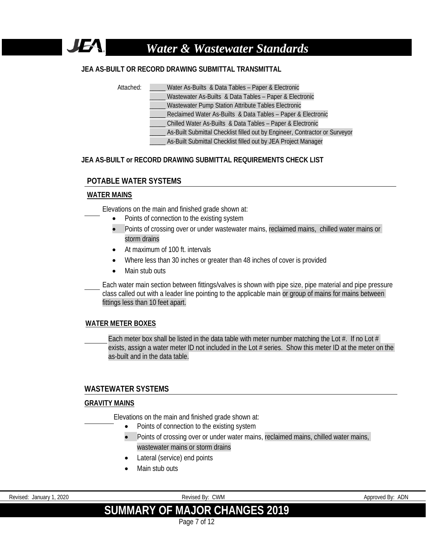# **JEA AS-BUILT OR RECORD DRAWING SUBMITTAL TRANSMITTAL**

JEA.

- Attached: Water As-Builts & Data Tables Paper & Electronic
	- Wastewater As-Builts & Data Tables Paper & Electronic
	- \_\_\_\_\_ Wastewater Pump Station Attribute Tables Electronic
	- Reclaimed Water As-Builts & Data Tables Paper & Electronic
	- \_\_\_\_\_ Chilled Water As-Builts & Data Tables Paper & Electronic
	- As-Built Submittal Checklist filled out by Engineer, Contractor or Surveyor
		- As-Built Submittal Checklist filled out by JEA Project Manager

#### **JEA AS-BUILT or RECORD DRAWING SUBMITTAL REQUIREMENTS CHECK LIST**

# **POTABLE WATER SYSTEMS**

#### **WATER MAINS**

Elevations on the main and finished grade shown at:

- Points of connection to the existing system
- Points of crossing over or under wastewater mains, reclaimed mains, chilled water mains or storm drains
- At maximum of 100 ft. intervals
- Where less than 30 inches or greater than 48 inches of cover is provided
- Main stub outs

Each water main section between fittings/valves is shown with pipe size, pipe material and pipe pressure class called out with a leader line pointing to the applicable main or group of mains for mains between fittings less than 10 feet apart.

# **WATER METER BOXES**

Each meter box shall be listed in the data table with meter number matching the Lot  $#$ . If no Lot  $#$ exists, assign a water meter ID not included in the Lot # series. Show this meter ID at the meter on the as-built and in the data table.

#### **WASTEWATER SYSTEMS**

#### **GRAVITY MAINS**

Elevations on the main and finished grade shown at:

- Points of connection to the existing system
- Points of crossing over or under water mains, reclaimed mains, chilled water mains. wastewater mains or storm drains
- Lateral (service) end points
- Main stub outs

Revised: January 1, 2020 **Revised By: ADN** Revised By: CWM Revised: January 1, 2020 Approved By: ADN

# **SUMMARY OF MAJOR CHANGES 2019**

Page 7 of 12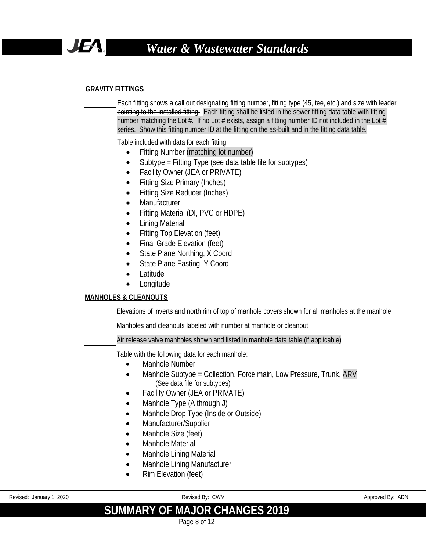

# **GRAVITY FITTINGS**

Each fitting shows a call out designating fitting number, fitting type (45, tee, etc.) and size with leader pointing to the installed fitting. Each fitting shall be listed in the sewer fitting data table with fitting number matching the Lot  $#$ . If no Lot  $#$  exists, assign a fitting number ID not included in the Lot  $#$ series. Show this fitting number ID at the fitting on the as-built and in the fitting data table.

Table included with data for each fitting:

- Fitting Number (matching lot number)
- Subtype = Fitting Type (see data table file for subtypes)
- Facility Owner (JEA or PRIVATE)
- **Fitting Size Primary (Inches)**
- Fitting Size Reducer (Inches)
- **Manufacturer**
- Fitting Material (DI, PVC or HDPE)
- Lining Material
- Fitting Top Elevation (feet)
- Final Grade Elevation (feet)
- State Plane Northing, X Coord
- State Plane Easting, Y Coord
- **Latitude**
- Longitude

# **MANHOLES & CLEANOUTS**

Elevations of inverts and north rim of top of manhole covers shown for all manholes at the manhole

Manholes and cleanouts labeled with number at manhole or cleanout

Air release valve manholes shown and listed in manhole data table (if applicable)

Table with the following data for each manhole:

- Manhole Number
- Manhole Subtype = Collection, Force main, Low Pressure, Trunk, ARV (See data file for subtypes)
- Facility Owner (JEA or PRIVATE)
- Manhole Type (A through J)
- Manhole Drop Type (Inside or Outside)
- Manufacturer/Supplier
- Manhole Size (feet)
- Manhole Material
- Manhole Lining Material
- Manhole Lining Manufacturer
- Rim Elevation (feet)

Revised: January 1, 2020 **Revised By: CWM** Revised By: CWM **Approved By: ADN** Approved By: ADN

# **SUMMARY OF MAJOR CHANGES 2019**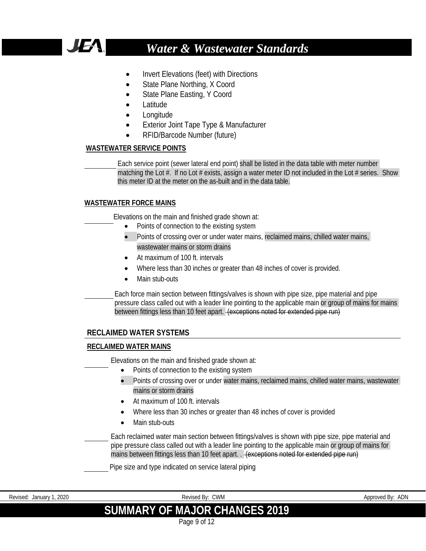

- Invert Elevations (feet) with Directions
- State Plane Northing, X Coord
- State Plane Easting, Y Coord
- Latitude
- Longitude
- **Exterior Joint Tape Type & Manufacturer**
- RFID/Barcode Number (future)

#### **WASTEWATER SERVICE POINTS**

Each service point (sewer lateral end point) shall be listed in the data table with meter number matching the Lot  $#$ . If no Lot  $#$  exists, assign a water meter ID not included in the Lot  $#$  series. Show this meter ID at the meter on the as-built and in the data table.

# **WASTEWATER FORCE MAINS**

Elevations on the main and finished grade shown at:

- Points of connection to the existing system
- Points of crossing over or under water mains, reclaimed mains, chilled water mains, wastewater mains or storm drains
- At maximum of 100 ft. intervals
- Where less than 30 inches or greater than 48 inches of cover is provided.
- Main stub-outs

Each force main section between fittings/valves is shown with pipe size, pipe material and pipe pressure class called out with a leader line pointing to the applicable main or group of mains for mains between fittings less than 10 feet apart. (exceptions noted for extended pipe run)

# **RECLAIMED WATER SYSTEMS**

# **RECLAIMED WATER MAINS**

Elevations on the main and finished grade shown at:

- Points of connection to the existing system
- Points of crossing over or under water mains, reclaimed mains, chilled water mains, wastewater mains or storm drains
- At maximum of 100 ft. intervals
- Where less than 30 inches or greater than 48 inches of cover is provided
- Main stub-outs

Each reclaimed water main section between fittings/valves is shown with pipe size, pipe material and pipe pressure class called out with a leader line pointing to the applicable main or group of mains for mains between fittings less than 10 feet apart. . (exceptions noted for extended pipe run)

Pipe size and type indicated on service lateral piping

Revised: January 1, 2020 **Revised By: ADN** Revised By: CWM Revised: January 1, 2020 Approved By: ADN **SUMMARY OF MAJOR CHANGES 2019**

Page 9 of 12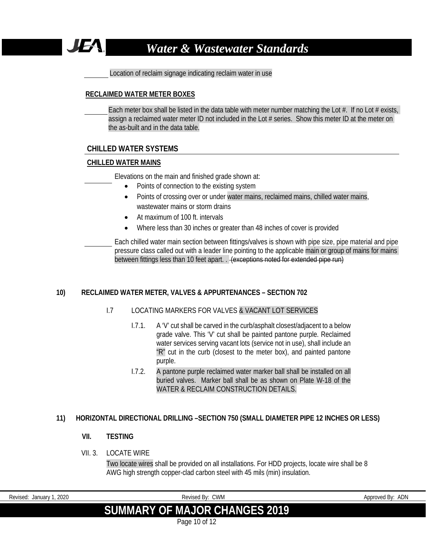

Location of reclaim signage indicating reclaim water in use

#### **RECLAIMED WATER METER BOXES**

Each meter box shall be listed in the data table with meter number matching the Lot #. If no Lot # exists, assign a reclaimed water meter ID not included in the Lot # series. Show this meter ID at the meter on the as-built and in the data table.

# **CHILLED WATER SYSTEMS**

#### **CHILLED WATER MAINS**

Elevations on the main and finished grade shown at:

- Points of connection to the existing system
- Points of crossing over or under water mains, reclaimed mains, chilled water mains, wastewater mains or storm drains
- At maximum of 100 ft. intervals
- Where less than 30 inches or greater than 48 inches of cover is provided

Each chilled water main section between fittings/valves is shown with pipe size, pipe material and pipe pressure class called out with a leader line pointing to the applicable main or group of mains for mains between fittings less than 10 feet apart. . (exceptions noted for extended pipe run)

# **10) RECLAIMED WATER METER, VALVES & APPURTENANCES – SECTION 702**

# I.7 LOCATING MARKERS FOR VALVES & VACANT LOT SERVICES

- I.7.1. A 'V' cut shall be carved in the curb/asphalt closest/adjacent to a below grade valve. This 'V' cut shall be painted pantone purple. Reclaimed water services serving vacant lots (service not in use), shall include an  $R''$  cut in the curb (closest to the meter box), and painted pantone purple.
- I.7.2. A pantone purple reclaimed water marker ball shall be installed on all buried valves. Marker ball shall be as shown on Plate W-18 of the WATER & RECLAIM CONSTRUCTION DETAILS.

# **11) HORIZONTAL DIRECTIONAL DRILLING –SECTION 750 (SMALL DIAMETER PIPE 12 INCHES OR LESS)**

# **VII. TESTING**

# VII. 3 LOCATE WIRE

Two locate wires shall be provided on all installations. For HDD projects, locate wire shall be 8 AWG high strength copper-clad carbon steel with 45 mils (min) insulation.

| Revised: January 1, 2020 | Revised By: CWM                      | Approved By: ADN |
|--------------------------|--------------------------------------|------------------|
|                          | <b>SUMMARY OF MAJOR CHANGES 2019</b> |                  |
|                          | Page 10 of 12                        |                  |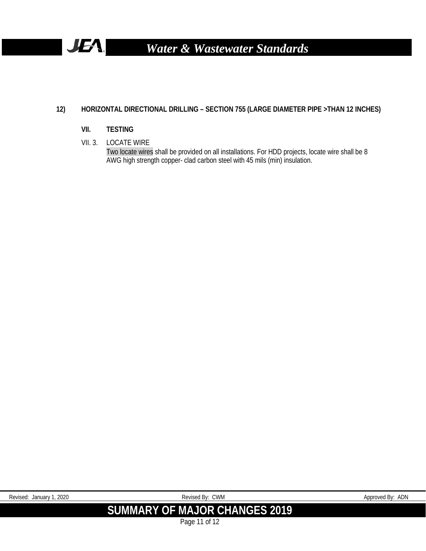

# **12) HORIZONTAL DIRECTIONAL DRILLING – SECTION 755 (LARGE DIAMETER PIPE >THAN 12 INCHES)**

# **VII. TESTING**

VII. 3. LOCATE WIRE

Two locate wires shall be provided on all installations. For HDD projects, locate wire shall be 8 AWG high strength copper- clad carbon steel with 45 mils (min) insulation.

| 2020<br>Revised.<br>January | <b>CWM</b><br>Revised By:                         | <b>ADN</b><br>Approved By: |
|-----------------------------|---------------------------------------------------|----------------------------|
|                             | <b>SUMMARY OF MA.</b><br><b>AJOR CHANGES 2019</b> |                            |

Page 11 of 12